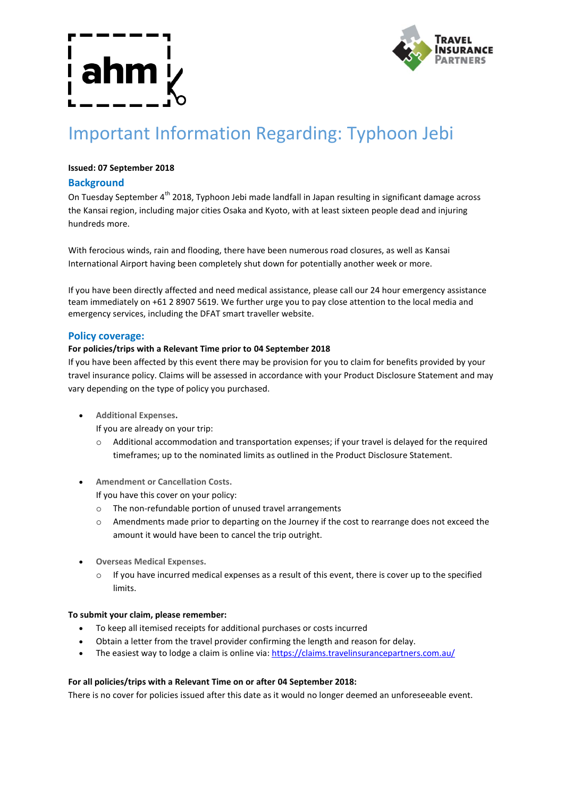

# Important Information Regarding: Typhoon Jebi

# **Issued: 07 September 2018**

# **Background**

On Tuesday September 4<sup>th</sup> 2018, Typhoon Jebi made landfall in Japan resulting in significant damage across the Kansai region, including major cities Osaka and Kyoto, with at least sixteen people dead and injuring hundreds more.

With ferocious winds, rain and flooding, there have been numerous road closures, as well as Kansai International Airport having been completely shut down for potentially another week or more.

If you have been directly affected and need medical assistance, please call our 24 hour emergency assistance team immediately on +61 2 8907 5619. We further urge you to pay close attention to the local media and emergency services, including the DFAT smart traveller website.

### **Policy coverage:**

### **For policies/trips with a Relevant Time prior to 04 September 2018**

If you have been affected by this event there may be provision for you to claim for benefits provided by your travel insurance policy. Claims will be assessed in accordance with your Product Disclosure Statement and may vary depending on the type of policy you purchased.

- **Additional Expenses.**
	- If you are already on your trip:
	- o Additional accommodation and transportation expenses; if your travel is delayed for the required timeframes; up to the nominated limits as outlined in the Product Disclosure Statement.
- **Amendment or Cancellation Costs.**

If you have this cover on your policy:

- o The non-refundable portion of unused travel arrangements
- o Amendments made prior to departing on the Journey if the cost to rearrange does not exceed the amount it would have been to cancel the trip outright.
- **Overseas Medical Expenses.**
	- $\circ$  If you have incurred medical expenses as a result of this event, there is cover up to the specified limits.

### **To submit your claim, please remember:**

- To keep all itemised receipts for additional purchases or costs incurred
- Obtain a letter from the travel provider confirming the length and reason for delay.
- The easiest way to lodge a claim is online via: https://claims.travelinsurancepartners.com.au/

### **For all policies/trips with a Relevant Time on or after 04 September 2018:**

There is no cover for policies issued after this date as it would no longer deemed an unforeseeable event.